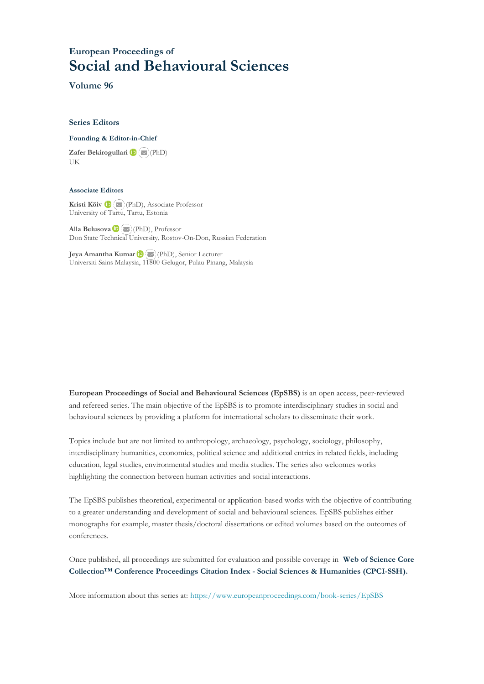## **European Proceedings of Social and Behavioural Sciences**

**Volume 96**

#### **Series Editors**

**Founding & Editor-in-Chief**

**Zafer Bekirogullari**(PhD) UK

#### **Associate Editors**

**Kristi Köiv** (PhD), Associate Professor University of Tartu, Tartu, Estonia

**Alla Belusova**(PhD), Professor Don State Technical University, Rostov-On-Don, Russian Federation

**Jeya Amantha Kumar**(PhD), Senior Lecturer Universiti Sains Malaysia, [1180](mailto:amantha@usm.my)0 Gelugor, Pulau Pinang, Malaysia

**European Proceedings of Social and Behavioural Sciences (EpSBS)** is an open access, peer-reviewed and refereed series. The main objective of the EpSBS is to promote interdisciplinary studies in social and behavioural sciences by providing a platform for international scholars to disseminate their work.

Topics include but are not limited to anthropology, archaeology, psychology, sociology, philosophy, interdisciplinary humanities, economics, political science and additional entries in related fields, including education, legal studies, environmental studies and media studies. The series also welcomes works highlighting the connection between human activities and social interactions.

The EpSBS publishes theoretical, experimental or application-based works with the objective of contributing to a greater understanding and development of social and behavioural sciences. EpSBS publishes either monographs for example, master thesis/doctoral dissertations or edited volumes based on the outcomes of conferences.

Once published, all proceedings are submitted for evaluation and possible coverage in **Web of [Science](https://clarivate.com/webofsciencegroup/solutions/webofscience-cpci/) Core Collection™ Conference Proceedings Citation Index - Social Sciences & Humanities [\(CPCI-SSH\).](https://clarivate.com/webofsciencegroup/solutions/webofscience-cpci/)**

More information about this series at[: https://www.europeanproceedings.com/book-series/EpSBS](https://www.europeanproceedings.com/book-series/EpSBS)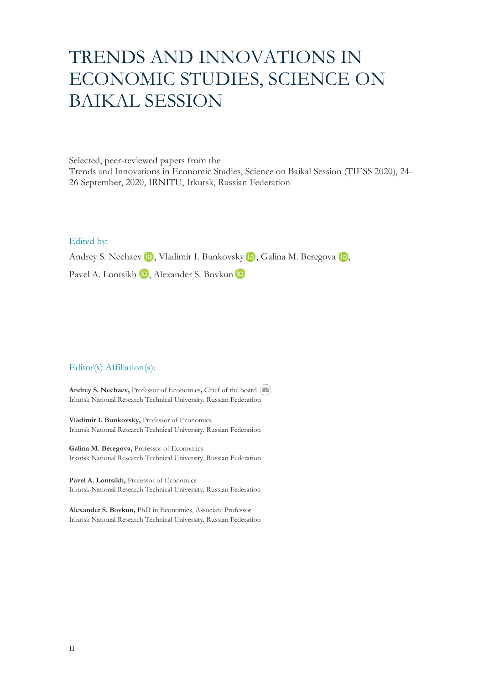# TRENDS AND INNOVATIONS IN ECONOMIC STUDIES, SCIENCE ON BAIKAL SESSION

Selected, peer-reviewed papers from the Trends and Innovations in Economic Studies, Science on Baikal Session (TIESS 2020), 24- 26 September, 2020, IRNITU, Irkutsk, Russian Federation

Edited by:

AndreyS. Nechaev **iD**[,](https://orcid.org/0000-0002-0940-0663) Vladimir I. Bunkovsky **iD**, Galina M. Beregova **iD**,

Pavel A. Lontsikh **D**, Alexander S. Bovkun **D** 

### Editor(s) Affiliation(s):

**Andrey S. Nechaev,** Professor of Economics**,** Chief of the board Irkutsk National Research Technical University, Russian Federation

**Vladimir I. Bunkovsky,** Professor of Economics Irkutsk National Research Technical University, Russian Federation

**Galina M. Beregova,** Professor of Economics Irkutsk National Research Technical University, Russian Federation

**Pavel A. Lontsikh,** Professor of Economics Irkutsk National Research Technical University, Russian Federation

**Alexander S. Bovkun,** PhD in Economics, Associate Professor Irkutsk National Research Technical University, Russian Federation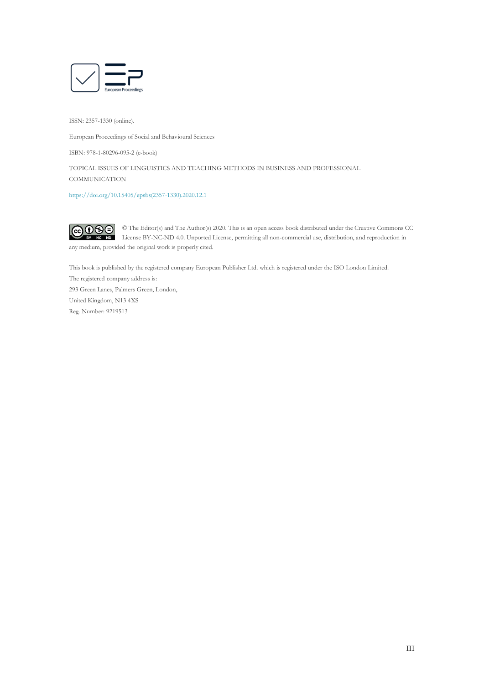

ISSN: 2357-1330 (online).

European Proceedings of Social and Behavioural Sciences

ISBN: 978-1-80296-095-2 (e-book)

TOPICAL ISSUES OF LINGUISTICS AND TEACHING METHODS IN BUSINESS AND PROFESSIONAL **COMMUNICATION** 

[https://doi.org/10.15405/epsbs\(2357-1330\).2020.12.1](https://doi.org/10.15405/epsbs(2357-1330).2020.12.1) 

 $\odot$   $\odot$   $\odot$ © The Editor(s) and The Author(s) 2020. This is an open access book distributed under the Creative Commons CC License BY-NC-ND 4.0. Unported License, permitting all non-commercial use, distribution, and reproduction in any medium, provided the original work is properly cited.

This book is published by the registered company European Publisher Ltd. which is registered under the ISO London Limited.

The registered company address is: 293 Green Lanes, Palmers Green, London, United Kingdom, N13 4XS Reg. Number: 9219513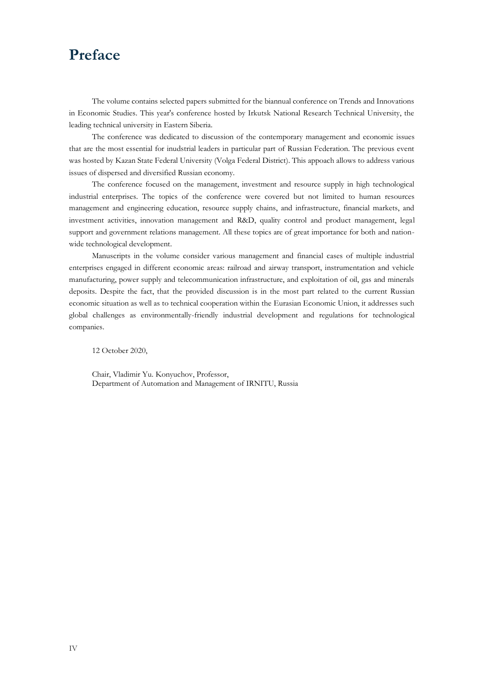# **Preface**

The volume contains selected papers submitted for the biannual conference on Trends and Innovations in Economic Studies. This year's conference hosted by Irkutsk National Research Technical University, the leading technical university in Eastern Siberia.

The conference was dedicated to discussion of the contemporary management and economic issues that are the most essential for inudstrial leaders in particular part of Russian Federation. The previous event was hosted by Kazan State Federal University (Volga Federal District). This appoach allows to address various issues of dispersed and diversified Russian economy.

The conference focused on the management, investment and resource supply in high technological industrial enterprises. The topics of the conference were covered but not limited to human resources management and engineering education, resource supply chains, and infrastructure, financial markets, and investment activities, innovation management and R&D, quality control and product management, legal support and government relations management. All these topics are of great importance for both and nationwide technological development.

Manuscripts in the volume consider various management and financial cases of multiple industrial enterprises engaged in different economic areas: railroad and airway transport, instrumentation and vehicle manufacturing, power supply and telecommunication infrastructure, and exploitation of oil, gas and minerals deposits. Despite the fact, that the provided discussion is in the most part related to the current Russian economic situation as well as to technical cooperation within the Eurasian Economic Union, it addresses such global challenges as environmentally-friendly industrial development and regulations for technological companies.

12 October 2020,

Chair, Vladimir Yu. Konyuchov, Professor, Department of Automation and Management of IRNITU, Russia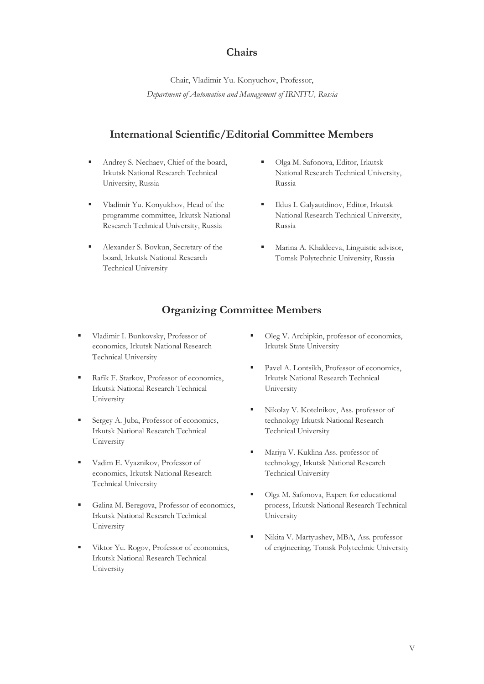### **Chairs**

Chair, Vladimir Yu. Konyuchov, Professor, *Department of Automation and Management of IRNITU, Russia*

### **International Scientific/Editorial Committee Members**

- Andrey S. Nechaev, Chief of the board, Irkutsk National Research Technical University, Russia
- **·** Vladimir Yu. Konyukhov, Head of the programme committee, Irkutsk National Research Technical University, Russia
- Alexander S. Bovkun, Secretary of the board, Irkutsk National Research Technical University
- Olga M. Safonova, Editor, Irkutsk National Research Technical University, Russia
- Ildus I. Galyautdinov, Editor, Irkutsk National Research Technical University, Russia
- **■** Marina A. Khaldeeva, Linguistic advisor, Tomsk Polytechnic University, Russia

## **Organizing Committee Members**

- Vladimir I. Bunkovsky, Professor of economics, Irkutsk National Research Technical University
- Rafik F. Starkov, Professor of economics, Irkutsk National Research Technical University
- **Exergey A. Juba, Professor of economics,** Irkutsk National Research Technical University
- Vadim E. Vyaznikov, Professor of economics, Irkutsk National Research Technical University
- Galina M. Beregova, Professor of economics, Irkutsk National Research Technical University
- Viktor Yu. Rogov, Professor of economics, Irkutsk National Research Technical University
- Oleg V. Archipkin, professor of economics, Irkutsk State University
- Pavel A. Lontsikh, Professor of economics, Irkutsk National Research Technical University
- Nikolay V. Kotelnikov, Ass. professor of technology Irkutsk National Research Technical University
- Mariya V. Kuklina Ass. professor of technology, Irkutsk National Research Technical University
- Olga M. Safonova, Expert for educational process, Irkutsk National Research Technical University
- Nikita V. Martyushev, MBA, Ass. professor of engineering, Tomsk Polytechnic University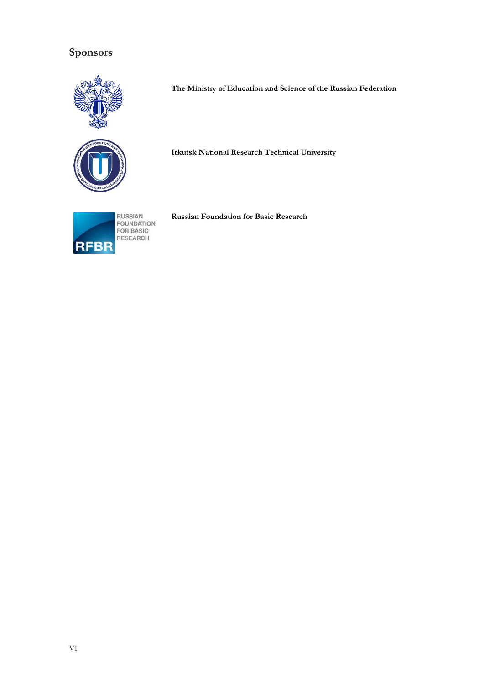# **Sponsors**





**Irkutsk National Research Technical University**

**The Ministry of Education and Science of the Russian Federation**

**Russian Foundation for Basic Research**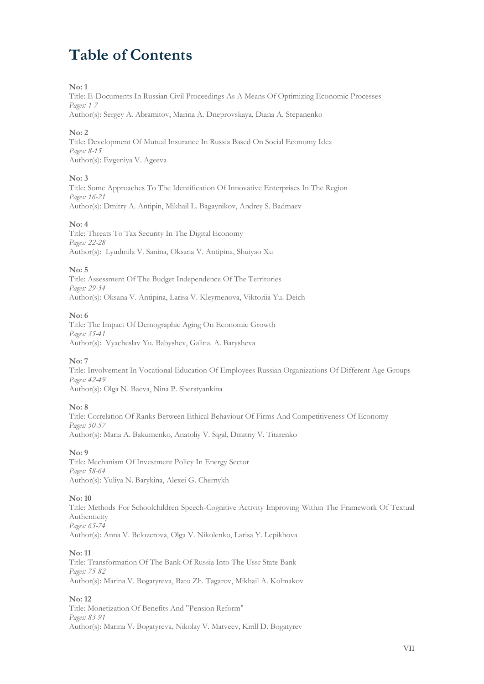# **Table of Contents**

#### **No: 1**

Title: E-Documents In Russian Civil Proceedings As A Means Of Optimizing Economic Processes *Pages: 1-7*

Author(s): Sergey A. Abramitov, Marina A. Dneprovskaya, Diana A. Stepanenko

#### **No: 2**

Title: Development Of Mutual Insurance In Russia Based On Social Economy Idea *Pages: 8-15* Author(s): Evgeniya V. Ageeva

#### **No: 3**

Title: Some Approaches To The Identification Of Innovative Enterprises In The Region *Pages: 16-21* Author(s): Dmitry A. Antipin, Mikhail L. Bagaynikov, Andrey S. Badmaev

#### **No: 4**

Title: Threats To Tax Security In The Digital Economy *Pages: 22-28* Author(s): Lyudmila V. Sanina, Oksana V. Antipina, Shuiyao Xu

#### **No: 5**

Title: Assessment Of The Budget Independence Of The Territories *Pages: 29-34* Author(s): Oksana V. Antipina, Larisa V. Kleymenova, Viktoriia Yu. Deich

#### **No: 6**

Title: The Impact Of Demographic Aging On Economic Growth *Pages: 35-41* Author(s): Vyacheslav Yu. Babyshev, Galina. A. Barysheva

#### **No: 7**

Title: Involvement In Vocational Education Of Employees Russian Organizations Of Different Age Groups *Pages: 42-49* Author(s): Olga N. Baeva, Nina P. Sherstyankina

#### **No: 8**

Title: Correlation Of Ranks Between Ethical Behaviour Of Firms And Competitiveness Of Economy *Pages: 50-57* Author(s): Maria A. Bakumenko, Anatoliy V. Sigal, Dmitriy V. Titarenko

#### **No: 9**

Title: Mechanism Of Investment Policy In Energy Sector *Pages: 58-64* Author(s): Yuliya N. Barykina, Alexei G. Chernykh

#### **No: 10**

Title: Methods For Schoolchildren Speech-Cognitive Activity Improving Within The Framework Of Textual Authenticity *Pages: 65-74* Author(s): Anna V. Belozerova, Olga V. Nikolenko, Larisa Y. Lepikhova

#### **No: 11**

Title: Transformation Of The Bank Of Russia Into The Ussr State Bank *Pages: 75-82* Author(s): Marina V. Bogatyreva, Bato Zh. Tagarov, Mikhail A. Kolmakov

#### **No: 12**

Title: Monetization Of Benefits And "Pension Reform" *Pages: 83-91* Author(s): Marina V. Bogatyreva, Nikolay V. Matveev, Kirill D. Bogatyrev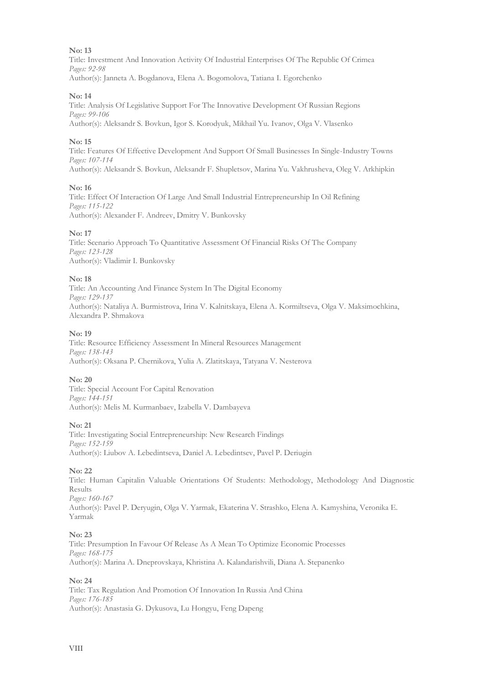Title: Investment And Innovation Activity Of Industrial Enterprises Of The Republic Of Crimea *Pages: 92-98* Author(s): Janneta A. Bogdanova, Еlena A. Bogomolova, Tatiana I. Egorchenko

#### **No: 14**

Title: Analysis Of Legislative Support For The Innovative Development Of Russian Regions *Pages: 99-106* Author(s): Aleksandr S. Bovkun, Igor S. Korodyuk, Mikhail Yu. Ivanov, Olga V. Vlasenko

#### **No: 15**

Title: Features Of Effective Development And Support Of Small Businesses In Single-Industry Towns *Pages: 107-114* Author(s): Aleksandr S. Bovkun, Aleksandr F. Shupletsov, Marina Yu. Vakhrusheva, Oleg V. Arkhipkin

#### **No: 16**

Title: Effect Of Interaction Of Large And Small Industrial Entrepreneurship In Oil Refining *Pages: 115-122* Author(s): Alexander F. Andreev, Dmitry V. Bunkovsky

#### **No: 17**

Title: Scenario Approach To Quantitative Assessment Of Financial Risks Of The Company *Pages: 123-128* Author(s): Vladimir I. Bunkovsky

#### **No: 18**

Title: An Accounting And Finance System In The Digital Economy *Pages: 129-137* Author(s): Nataliya A. Burmistrova, Irina V. Kalnitskaya, Elena A. Kormiltseva, Olga V. Maksimochkina, Alexandra P. Shmakova

#### **No: 19**

Title: Resource Efficiency Assessment In Mineral Resources Management *Pages: 138-143* Author(s): Oksana P. Chernikova, Yulia A. Zlatitskaya, Tatyana V. Nesterova

#### **No: 20**

Title: Special Account For Capital Renovation *Pages: 144-151* Author(s): Melis M. Kurmanbaev, Izabella V. Dambayeva

#### **No: 21**

Title: Investigating Social Entrepreneurship: New Research Findings *Pages: 152-159* Author(s): Liubov A. Lebedintseva, Daniel A. Lebedintsev, Pavel P. Deriugin

#### **No: 22**

Title: Human Capitalin Valuable Orientations Of Students: Methodology, Methodology And Diagnostic Results *Pages: 160-167* Author(s): Pavel P. Deryugin, Olga V. Yarmak, Ekaterina V. Strashko, Elena A. Kamyshina, Veronika E. Yarmak

#### **No: 23**

Title: Presumption In Favour Of Release As A Mean To Optimize Economic Processes *Pages: 168-175* Author(s): Marina A. Dneprovskaya, Khristina A. Kalandarishvili, Diana A. Stepanenko

#### **No: 24**

Title: Tax Regulation And Promotion Of Innovation In Russia And China *Pages: 176-185* Author(s): Anastasia G. Dykusova, Lu Hongyu, Feng Dapeng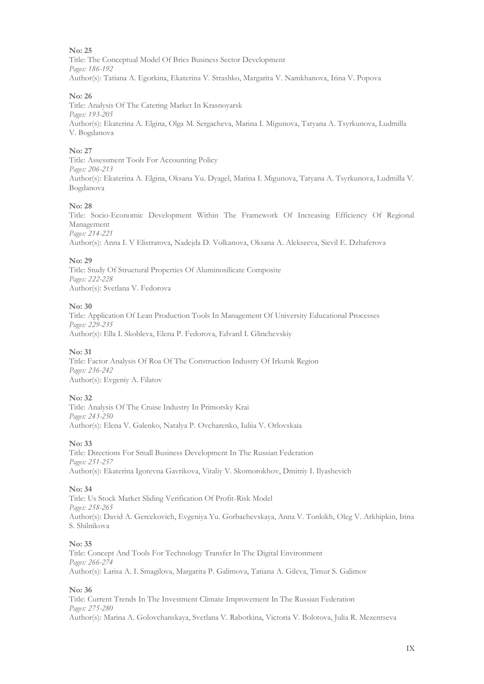Title: The Conceptual Model Of Brics Business Sector Development *Pages: 186-192* Author(s): Tatiana A. Egorkina, Ekaterina V. Strashko, Margarita V. Namkhanova, Irina V. Popova

#### **No: 26**

Title: Analysis Of The Catering Market In Krasnoyarsk *Pages: 193-205* Author(s): Ekaterina A. Elgina, Olga M. Sergacheva, Marina I. Migunova, Tatyana A. Tsyrkunova, Ludmilla V. Bogdanova

#### **No: 27**

Title: Assessment Tools For Accounting Policy *Pages: 206-213* Author(s): Ekaterina A. Elgina, Oksana Yu. Dyagel, Marina I. Migunova, Tatyana A. Tsyrkunova, Ludmilla V. Bogdanova

#### **No: 28**

Title: Socio-Economic Development Within The Framework Of Increasing Efficiency Of Regional Management *Pages: 214-221*

Author(s): Anna I. V Elistratova, Nadejda D. Volkanova, Oksana A. Alekseeva, Sievil E. Dzhaferova

#### **No: 29**

Title: Study Of Structural Properties Of Aluminosilicate Composite *Pages: 222-228* Author(s): Svetlana V. Fedorova

#### **No: 30**

Title: Application Of Lean Production Tools In Management Of University Educational Processes *Pages: 229-235* Author(s): Ella I. Skobleva, Elena P. Fedorova, Edvard I. Glinchevskiy

#### **No: 31**

Title: Factor Analysis Of Roa Of The Construction Industry Of Irkutsk Region *Pages: 236-242* Author(s): Evgeniy A. Filatov

#### **No: 32**

Title: Analysis Of The Cruise Industry In Primorsky Krai *Pages: 243-250* Author(s): Elena V. Galenko, Natalya P. Ovcharenko, Iuliia V. Orlovskaia

#### **No: 33**

Title: Directions For Small Business Development In The Russian Federation *Pages: 251-257* Author(s): Ekaterina Igorevna Gavrikova, Vitaliy V. Skomorokhov, Dmitriy I. Ilyashevich

#### **No: 34**

Title: Us Stock Market Sliding Verification Of Profit-Risk Model *Pages: 258-265* Author(s): David A. Gercekovich, Evgeniya Yu. Gorbachevskaya, Anna V. Tonkikh, Oleg V. Arkhipkin, Irina S. Shilnikova

#### **No: 35**

Title: Concept And Tools For Technology Transfer In The Digital Environment *Pages: 266-274* Author(s): Larisa A. I. Smagilova, Margarita P. Galimova, Tatiana A. Gileva, Timur S. Galimov

#### **No: 36**

Title: Current Trends In The Investment Climate Improvement In The Russian Federation *Pages: 275-280* Author(s): Marina A. Golovchanskaya, Svetlana V. Rabotkina, Victoria V. Bolotova, Julia R. Mezentseva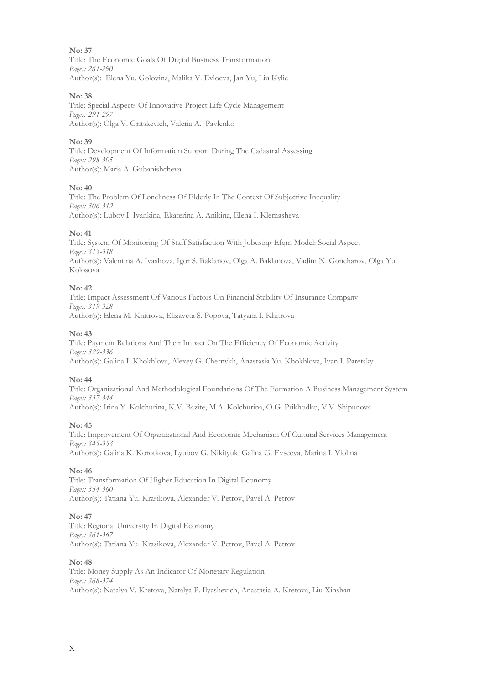Title: The Economic Goals Of Digital Business Transformation *Pages: 281-290* Author(s): Elena Yu. Golovina, Malika V. Evloeva, Jan Yu, Liu Kylie

#### **No: 38**

Title: Special Aspects Of Innovative Project Life Cycle Management *Pages: 291-297* Author(s): Olga V. Gritskevich, Valeria A. Pavlenko

#### **No: 39**

Title: Development Of Information Support During The Cadastral Assessing *Pages: 298-305* Author(s): Maria A. Gubanishcheva

#### **No: 40**

Title: The Problem Of Loneliness Of Elderly In The Context Of Subjective Inequality *Pages: 306-312* Author(s): Lubov I. Ivankina, Ekaterina A. Anikina, Elena I. Klemasheva

#### **No: 41**

Title: System Of Monitoring Of Staff Satisfaction With Jobusing Efqm Model: Social Aspect *Pages: 313-318* Author(s): Valentina A. Ivashova, Igor S. Baklanov, Olga A. Baklanova, Vadim N. Goncharov, Olga Yu. Kolosova

#### **No: 42**

Title: Impact Assessment Of Various Factors On Financial Stability Of Insurance Company *Pages: 319-328* Author(s): Elena M. Khitrova, Elizaveta S. Popova, Tatyana I. Khitrova

#### **No: 43**

Title: Payment Relations And Their Impact On The Efficiency Of Economic Activity *Pages: 329-336* Author(s): Galina I. Khokhlova, Alexey G. Chernykh, Anastasia Yu. Khokhlova, Ivan I. Paretsky

#### **No: 44**

Title: Organizational And Methodological Foundations Of The Formation A Business Management System *Pages: 337-344* Author(s): Irina Y. Kolchurina, K.V. Bazite, M.A. Kolchurina, O.G. Prikhodko, V.V. Shipunova

#### **No: 45**

Title: Improvement Of Organizational And Economic Mechanism Of Cultural Services Management *Pages: 345-353* Author(s): Galina K. Korotkova, Lyubov G. Nikityuk, Galina G. Evseeva, Marina I. Violina

#### **No: 46**

Title: Transformation Of Higher Education In Digital Economy *Pages: 354-360* Author(s): Tatiana Yu. Krasikova, Alexander V. Petrov, Pavel A. Petrov

#### **No: 47**

Title: Regional University In Digital Economy *Pages: 361-367* Author(s): Tatiana Yu. Krasikova, Alexander V. Petrov, Pavel A. Petrov

#### **No: 48**

Title: Money Supply As An Indicator Of Monetary Regulation *Pages: 368-374* Author(s): Natalya V. Kretova, Natalya P. Ilyashevich, Anastasia А. Kretova, Liu Xinshan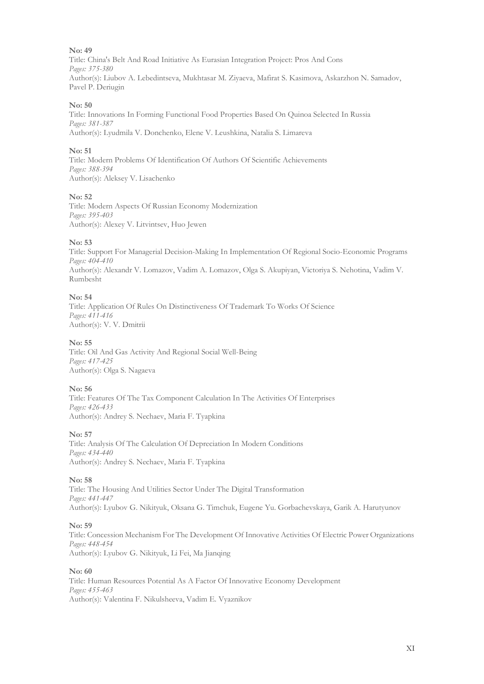Title: China's Belt And Road Initiative As Eurasian Integration Project: Pros And Cons *Pages: 375-380* Author(s): Liubov A. Lebedintseva, Mukhtasar M. Ziyaeva, Mafirat S. Kasimova, Askarzhon N. Samadov, Pavel P. Deriugin

#### **No: 50**

Title: Innovations In Forming Functional Food Properties Based On Quinoa Selected In Russia *Pages: 381-387* Author(s): Lyudmila V. Donchenko, Elene V. Leushkina, Natalia S. Limareva

#### **No: 51**

Title: Modern Problems Of Identification Of Authors Of Scientific Achievements *Pages: 388-394* Author(s): Aleksey V. Lisachenko

#### **No: 52**

Title: Modern Aspects Of Russian Economy Modernization *Pages: 395-403* Author(s): Alexey V. Litvintsev, Huo Jewen

#### **No: 53**

Title: Support For Managerial Decision-Making In Implementation Of Regional Socio-Economic Programs *Pages: 404-410* Author(s): Alexandr V. Lomazov, Vadim A. Lomazov, Olga S. Akupiyan, Victoriya S. Nehotina, Vadim V. Rumbesht

#### **No: 54**

Title: Application Of Rules On Distinctiveness Of Trademark To Works Of Science *Pages: 411-416* Author(s): V. V. Dmitrii

#### **No: 55**

Title: Oil And Gas Activity And Regional Social Well-Being *Pages: 417-425* Author(s): Olga S. Nagaeva

#### **No: 56**

Title: Features Of The Tax Component Calculation In The Activities Of Enterprises *Pages: 426-433* Author(s): Andrey S. Nechaev, Maria F. Tyapkina

#### **No: 57**

Title: Analysis Of The Calculation Of Depreciation In Modern Conditions *Pages: 434-440* Author(s): Andrey S. Nechaev, Maria F. Tyapkina

#### **No: 58**

Title: The Housing And Utilities Sector Under The Digital Transformation *Pages: 441-447* Author(s): Lyubov G. Nikityuk, Oksana G. Timchuk, Eugene Yu. Gorbachevskaya, Garik A. Harutyunov

#### **No: 59**

Title: Concession Mechanism For The Development Of Innovative Activities Of Electric Power Organizations *Pages: 448-454* Author(s): Lyubov G. Nikityuk, Li Fei, Ma Jianqing

#### **No: 60**

Title: Human Resources Potential As A Factor Of Innovative Economy Development *Pages: 455-463* Author(s): Valentina F. Nikulsheeva, Vadim E. Vyaznikov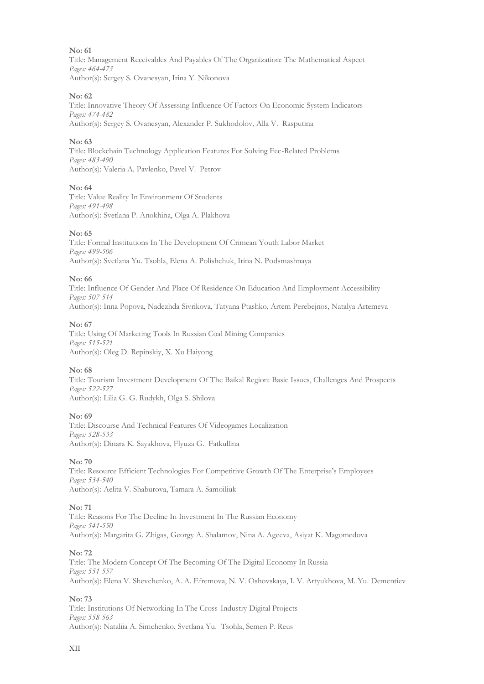Title: Management Receivables And Payables Of The Organization: The Mathematical Aspect *Pages: 464-473* Author(s): Sergey S. Ovanesyan, Irina Y. Nikonova

#### **No: 62**

Title: Innovative Theory Of Assessing Influence Of Factors On Economic System Indicators *Pages: 474-482* Author(s): Sergey S. Оvanesyan, Alexander P. Sukhodolov, Alla V. Rasputina

#### **No: 63**

Title: Blockchain Technology Application Features For Solving Fec-Related Problems *Pages: 483-490* Author(s): Valeria A. Pavlenko, Pavel V. Petrov

#### **No: 64**

Title: Value Reality In Environment Of Students *Pages: 491-498* Author(s): Svetlana P. Anokhina, Olga A. Plakhova

#### **No: 65**

Title: Formal Institutions In The Development Of Crimean Youth Labor Market *Pages: 499-506* Author(s): Svetlana Yu. Tsohla, Elena A. Polishchuk, Irina N. Podsmashnaya

#### **No: 66**

Title: Influence Of Gender And Place Of Residence On Education And Employment Accessibility *Pages: 507-514* Author(s): Inna Popova, Nadezhda Sivrikova, Tatyana Ptashko, Artem Perebejnos, Natalya Artemeva

#### **No: 67**

Title: Using Of Marketing Tools In Russian Coal Mining Companies *Pages: 515-521* Author(s): Oleg D. Repinskiy, X. Xu Haiyong

#### **No: 68**

Title: Tourism Investment Development Of The Baikal Region: Basic Issues, Challenges And Prospects *Pages: 522-527* Author(s): Lilia G. G. Rudykh, Olga S. Shilova

#### **No: 69**

Title: Discourse And Technical Features Of Videogames Localization *Pages: 528-533* Author(s): Dinara K. Sayakhova, Flyuza G. Fatkullina

#### **No: 70**

Title: Resource Efficient Technologies For Competitive Growth Of The Enterprise's Employees *Pages: 534-540* Author(s): Aelita V. Shaburova, Tamara A. Samoiliuk

#### **No: 71**

Title: Reasons For The Decline In Investment In The Russian Economy *Pages: 541-550* Author(s): Margarita G. Zhigas, Georgy A. Shalamov, Nina A. Ageeva, Asiyat K. Magomedova

#### **No: 72**

Title: The Modern Concept Of The Becoming Of The Digital Economy In Russia *Pages: 551-557* Author(s): Elena V. Shevchenko, A. A. Efremova, N. V. Oshovskaya, I. V. Artyukhova, M. Yu. Dementiev

#### **No: 73**

Title: Institutions Of Networking In The Cross-Industry Digital Projects *Pages: 558-563* Author(s): Nataliia A. Simchenko, Svetlana Yu. Tsohla, Semen P. Reus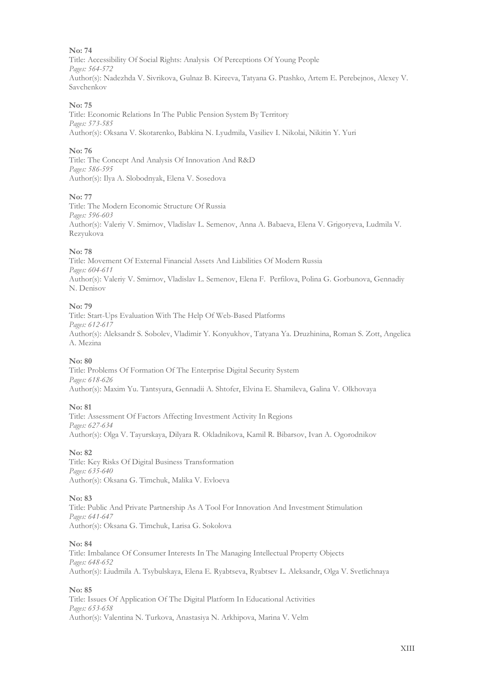Title: Accessibility Of Social Rights: Analysis Of Perceptions Of Young People *Pages: 564-572* Author(s): Nadezhda V. Sivrikova, Gulnaz B. Kireeva, Tatyana G. Ptashko, Artem E. Perebejnos, Alexey V. Savchenkov

#### **No: 75**

Title: Economic Relations In The Public Pension System By Territory *Pages: 573-585* Author(s): Oksana V. Skotarenko, Babkina N. Lyudmila, Vasiliev I. Nikolai, Nikitin Y. Yuri

#### **No: 76**

Title: The Concept And Analysis Of Innovation And R&D *Pages: 586-595* Author(s): Ilya A. Slobodnyak, Elena V. Sosedova

#### **No: 77**

Title: The Modern Economic Structure Of Russia *Pages: 596-603* Author(s): Valeriy V. Smirnov, Vladislav L. Semenov, Anna A. Babaeva, Elena V. Grigoryeva, Ludmila V. Rezyukova

#### **No: 78**

Title: Movement Of External Financial Assets And Liabilities Of Modern Russia *Pages: 604-611* Author(s): Valeriy V. Smirnov, Vladislav L. Semenov, Elena F. Perfilova, Polina G. Gorbunova, Gennadiy N. Denisov

#### **No: 79**

Title: Start-Ups Evaluation With The Help Of Web-Based Platforms *Pages: 612-617* Author(s): Aleksandr S. Sobolev, Vladimir Y. Konyukhov, Tatyana Ya. Druzhinina, Roman S. Zott, Angelica A. Mezina

#### **No: 80**

Title: Problems Of Formation Of The Enterprise Digital Security System *Pages: 618-626* Author(s): Maxim Yu. Tantsyura, Gennadii A. Shtofer, Elvina E. Shamileva, Galina V. Olkhovaya

#### **No: 81**

Title: Assessment Of Factors Affecting Investment Activity In Regions *Pages: 627-634* Author(s): Olga V. Tayurskaya, Dilyara R. Okladnikova, Kamil R. Bibarsov, Ivan A. Ogorodnikov

#### **No: 82**

Title: Key Risks Of Digital Business Transformation *Pages: 635-640* Author(s): Oksana G. Timchuk, Malika V. Evloeva

#### **No: 83**

Title: Public And Private Partnership As A Tool For Innovation And Investment Stimulation *Pages: 641-647* Author(s): Oksana G. Timchuk, Larisa G. Sokolova

#### **No: 84**

Title: Imbalance Of Consumer Interests In The Managing Intellectual Property Objects *Pages: 648-652* Author(s): Liudmila А. Tsybulskaya, Еlena Е. Ryabtseva, Ryabtsev L. Аleksandr, Оlga V. Svetlichnaya

#### **No: 85**

Title: Issues Of Application Of The Digital Platform In Educational Activities *Pages: 653-658* Author(s): Valentina N. Turkova, Anastasiya N. Arkhipova, Marina V. Velm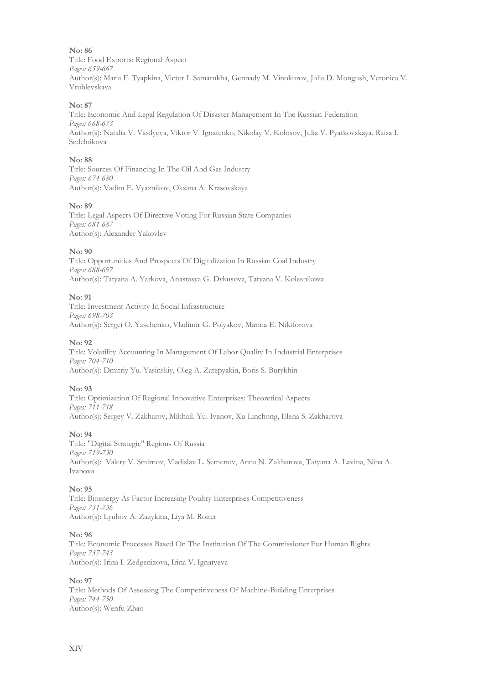Title: Food Exports: Regional Aspect *Pages: 659-667* Author(s): Maria F. Tyapkina, Victor I. Samarukha, Gennady M. Vinokurov, Julia D. Mongush, Veronica V. Vrublevskaya

#### **No: 87**

Title: Economic And Legal Regulation Of Disaster Management In The Russian Federation *Pages: 668-673* Author(s): Natalia V. Vasilyeva, Viktor V. Ignatenko, Nikolay V. Kolosov, Julia V. Pyatkovskaya, Raisa I. Sedelnikova

#### **No: 88**

Title: Sources Of Financing In The Oil And Gas Industry *Pages: 674-680* Author(s): Vadim E. Vyaznikov, Oksana A. Krasovskaya

#### **No: 89**

Title: Legal Aspects Of Directive Voting For Russian State Companies *Pages: 681-687* Author(s): Alexander Yakovlev

#### **No: 90**

Title: Opportunities And Prospects Of Digitalization In Russian Coal Industry *Pages: 688-697* Author(s): Tatyana A. Yarkova, Anastasya G. Dykusova, Tatyana V. Kolesnikova

#### **No: 91**

Title: Investment Activity In Social Infrastructure *Pages: 698-703* Author(s): Sergei O. Yaschenko, Vladimir G. Polyakov, Marina E. Nikiforova

#### **No: 92**

Title: Volatility Accounting In Management Of Labor Quality In Industrial Enterprises *Pages: 704-710* Author(s): Dmitriy Yu. Yasinskiy, Oleg A. Zatepyakin, Boris S. Burykhin

#### **No: 93**

Title: Optimization Of Regional Innovative Enterprises: Theoretical Aspects *Pages: 711-718* Author(s): Sergey V. Zakharov, Mikhail. Yu. Ivanov, Xu Linchong, Elena S. Zakharova

#### **No: 94**

Title: "Digital Strategic" Regions Of Russia *Pages: 719-730* Author(s): Valery V. Smirnov, Vladislav L. Semenov, Anna N. Zakharova, Tatyana A. Lavina, Nina A. Ivanova

#### **No: 95**

Title: Bioenergy As Factor Increasing Poultry Enterprises Competitiveness *Pages: 731-736* Author(s): Lyubov A. Zazykina, Liya M. Roiter

#### **No: 96**

Title: Economic Processes Based On The Institution Of The Commissioner For Human Rights *Pages: 737-743* Author(s): Irina I. Zedgenizova, Irina V. Ignatyeva

#### **No: 97**

Title: Methods Of Assessing The Competitiveness Of Machine-Building Enterprises *Pages: 744-750* Author(s): Wenfu Zhao